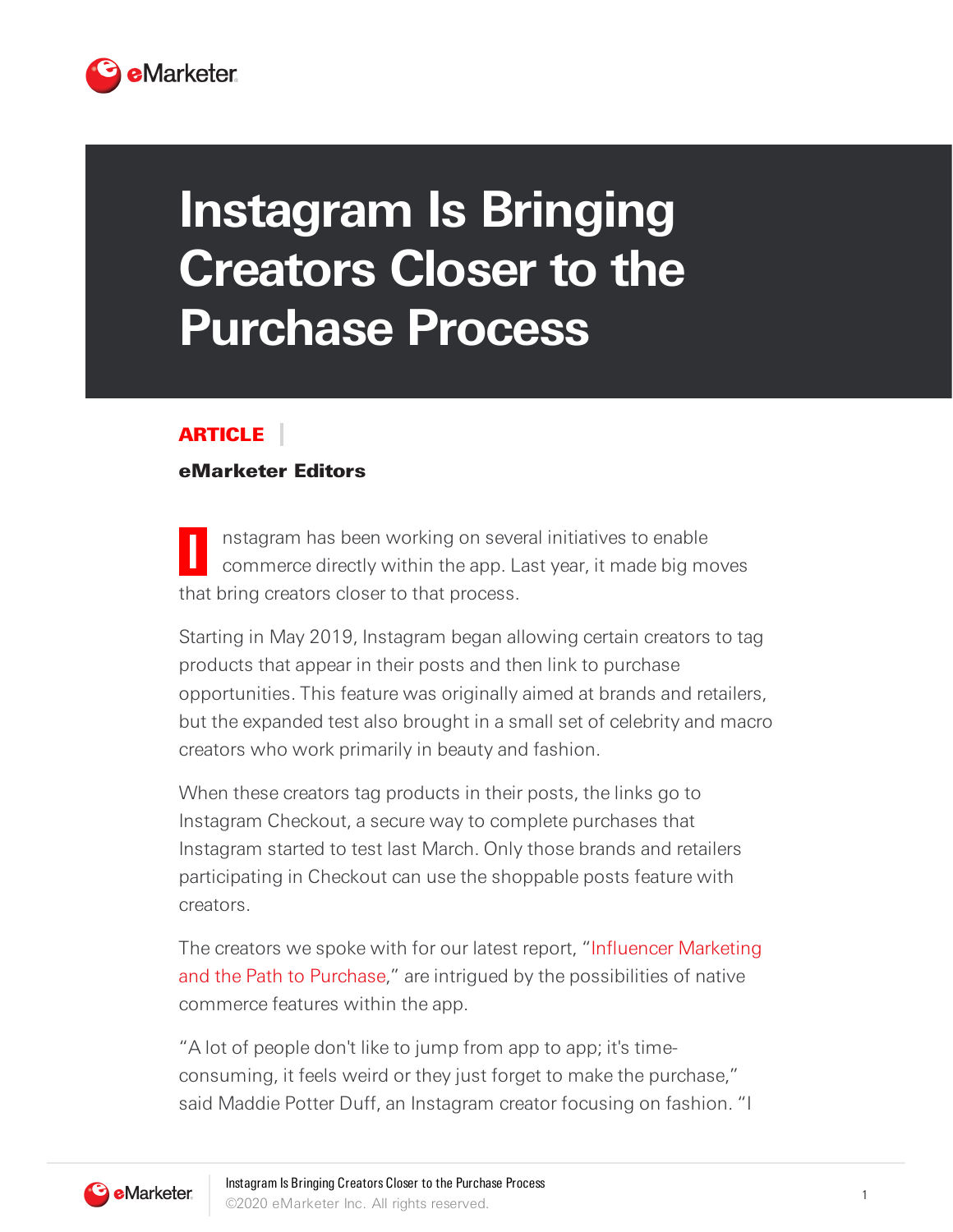

## **Instagram Is Bringing Creators Closer to the Purchase Process**

## ARTICLE

## eMarketer Editors

**I** nstagram has been working on several initiatives to enable commerce directly within the app. Last year, it made big moves that bring creators closer to that process.

Starting in May 2019, Instagram began allowing certain creators to tag products that appear in their posts and then link to purchase opportunities. This feature was originally aimed at brands and retailers, but the expanded test also brought in a small set of celebrity and macro creators who work primarily in beauty and fashion.

When these creators tag products in their posts, the links go to Instagram Checkout, a secure way to complete purchases that Instagram started to test last March. Only those brands and retailers participating in Checkout can use the shoppable posts feature with creators.

The creators we spoke with for our latest report, "Influencer Marketing and the Path to Purchase," are intrigued by the possibilities of native commerce features within the app.

"A lot of people don't like to jump from app to app; it's timeconsuming, it feels weird or they just forget to make the purchase," said Maddie Potter Duff, an Instagram creator focusing on fashion. "I

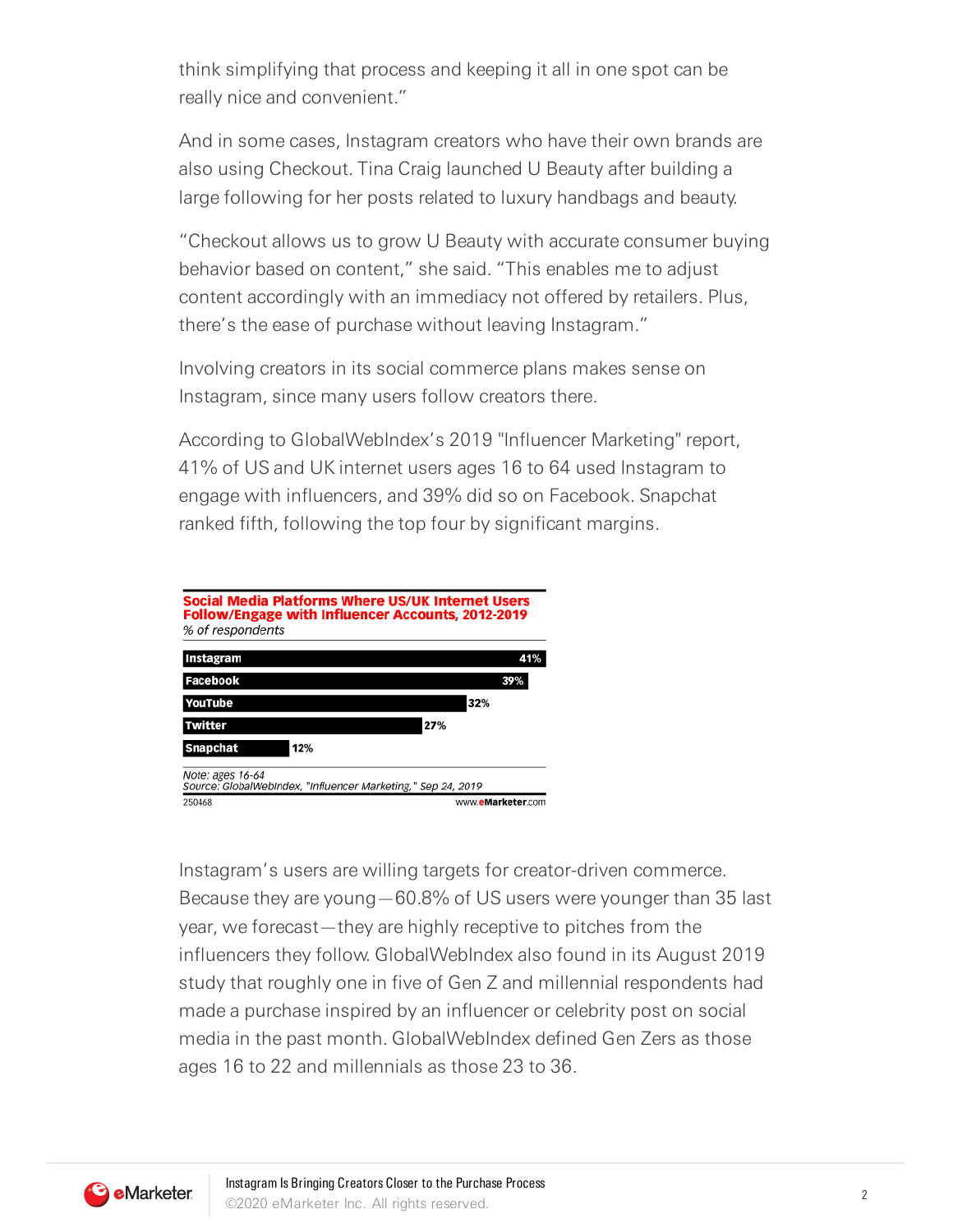think simplifying that process and keeping it all in one spot can be really nice and convenient."

And in some cases, Instagram creators who have their own brands are also using Checkout. Tina Craig launched U Beauty after building a large following for her posts related to luxury handbags and beauty.

"Checkout allows us to grow U Beauty with accurate consumer buying behavior based on content," she said. "This enables me to adjust content accordingly with an immediacy not offered by retailers. Plus, there's the ease of purchase without leaving Instagram."

Involving creators in its social commerce plans makes sense on Instagram, since many users follow creators there.

According to GlobalWebIndex's 2019 "Influencer Marketing" report, 41% of US and UK internet users ages 16 to 64 used Instagram to engage with influencers, and 39% did so on Facebook. Snapchat ranked fifth, following the top four by significant margins.



Instagram's users are willing targets for creator-driven commerce. Because they are young—60.8% of US users were younger than 35 last year, we forecast—they are highly receptive to pitches from the influencers they follow. GlobalWebIndex also found in its August 2019 study that roughly one in five of Gen Z and millennial respondents had made a purchase inspired by an influencer or celebrity post on social media in the past month. GlobalWebIndex defined Gen Zers as those ages 16 to 22 and millennials as those 23 to 36.